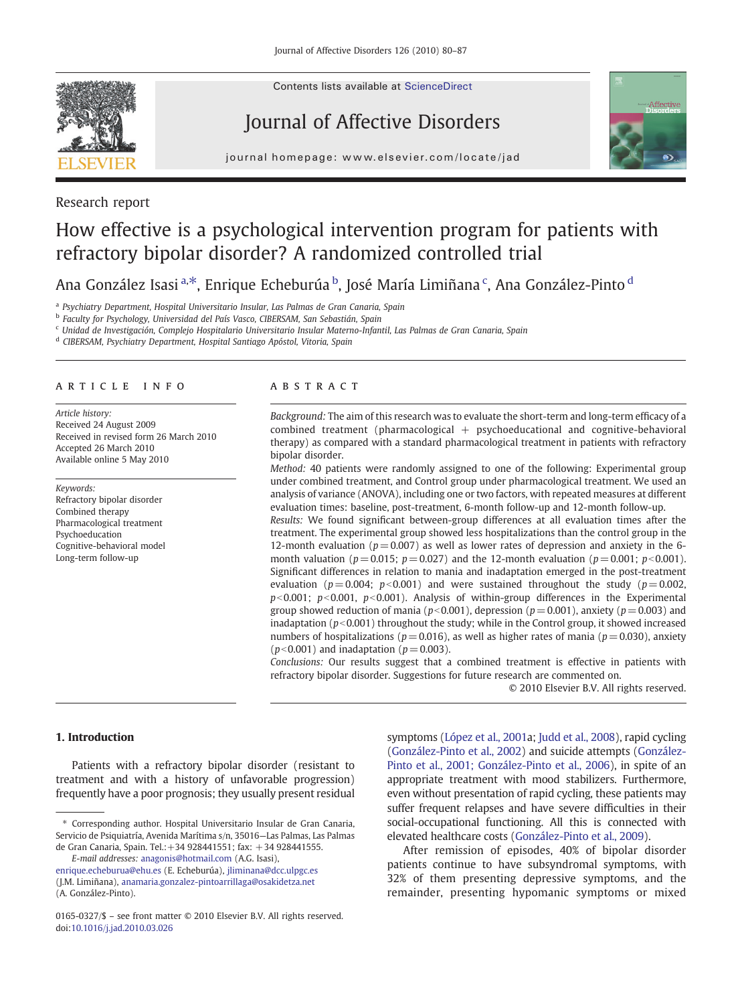Research report

Contents lists available at [ScienceDirect](http://www.sciencedirect.com/science/journal/01650327)

# Journal of Affective Disorders



journal homepage: www.elsevier.com/locate/jad

# How effective is a psychological intervention program for patients with refractory bipolar disorder? A randomized controlled trial

Ana González Isasi <sup>a, $\ast$ </sup>, Enrique Echeburúa <sup>b</sup>, José María Limiñana <sup>c</sup>, Ana González-Pinto <sup>d</sup>

<sup>a</sup> Psychiatry Department, Hospital Universitario Insular, Las Palmas de Gran Canaria, Spain

<sup>b</sup> Faculty for Psychology, Universidad del País Vasco, CIBERSAM, San Sebastián, Spain

<sup>c</sup> Unidad de Investigación, Complejo Hospitalario Universitario Insular Materno-Infantil, Las Palmas de Gran Canaria, Spain

<sup>d</sup> CIBERSAM, Psychiatry Department, Hospital Santiago Apóstol, Vitoria, Spain

# article info abstract

Article history: Received 24 August 2009 Received in revised form 26 March 2010 Accepted 26 March 2010 Available online 5 May 2010

Keywords: Refractory bipolar disorder Combined therapy Pharmacological treatment Psychoeducation Cognitive-behavioral model Long-term follow-up

Background: The aim of this research was to evaluate the short-term and long-term efficacy of a combined treatment (pharmacological + psychoeducational and cognitive-behavioral therapy) as compared with a standard pharmacological treatment in patients with refractory bipolar disorder.

Method: 40 patients were randomly assigned to one of the following: Experimental group under combined treatment, and Control group under pharmacological treatment. We used an analysis of variance (ANOVA), including one or two factors, with repeated measures at different evaluation times: baseline, post-treatment, 6-month follow-up and 12-month follow-up.

Results: We found significant between-group differences at all evaluation times after the treatment. The experimental group showed less hospitalizations than the control group in the 12-month evaluation ( $p = 0.007$ ) as well as lower rates of depression and anxiety in the 6month valuation ( $p = 0.015$ ;  $p = 0.027$ ) and the 12-month evaluation ( $p = 0.001$ ;  $p < 0.001$ ). Significant differences in relation to mania and inadaptation emerged in the post-treatment evaluation ( $p = 0.004$ ;  $p < 0.001$ ) and were sustained throughout the study ( $p = 0.002$ ,  $p<0.001$ ;  $p<0.001$ ,  $p<0.001$ ). Analysis of within-group differences in the Experimental group showed reduction of mania ( $p$ <0.001), depression ( $p$  = 0.001), anxiety ( $p$  = 0.003) and inadaptation ( $p<0.001$ ) throughout the study; while in the Control group, it showed increased numbers of hospitalizations ( $p = 0.016$ ), as well as higher rates of mania ( $p = 0.030$ ), anxiety  $(p<0.001)$  and inadaptation ( $p = 0.003$ ).

Conclusions: Our results suggest that a combined treatment is effective in patients with refractory bipolar disorder. Suggestions for future research are commented on.

© 2010 Elsevier B.V. All rights reserved.

# 1. Introduction

doi:[10.1016/j.jad.2010.03.026](http://dx.doi.org/10.1016/j.jad.2010.03.026)

Patients with a refractory bipolar disorder (resistant to treatment and with a history of unfavorable progression) frequently have a poor prognosis; they usually present residual

E-mail addresses: [anagonis@hotmail.com](mailto:anagonis@hotmail.com) (A.G. Isasi), [enrique.echeburua@ehu.es](mailto:enrique.echeburua@ehu.es) (E. Echeburúa), [jliminana@dcc.ulpgc.es](mailto:jliminana@dcc.ulpgc.es) (J.M. Limiñana), [anamaria.gonzalez-pintoarrillaga@osakidetza.net](mailto:anamaria.gonzalez-pintoarrillaga@osakidetza.net) (A. González-Pinto).

symptoms [\(López et al., 2001a](#page-6-0); [Judd et al., 2008\)](#page-6-0), rapid cycling ([González-Pinto et al., 2002\)](#page-6-0) and suicide attempts ([González-](#page-6-0)[Pinto et al., 2001; González-Pinto et al., 2006\)](#page-6-0), in spite of an appropriate treatment with mood stabilizers. Furthermore, even without presentation of rapid cycling, these patients may suffer frequent relapses and have severe difficulties in their social-occupational functioning. All this is connected with elevated healthcare costs [\(González-Pinto et al., 2009](#page-6-0)).

After remission of episodes, 40% of bipolar disorder patients continue to have subsyndromal symptoms, with 32% of them presenting depressive symptoms, and the remainder, presenting hypomanic symptoms or mixed

<sup>⁎</sup> Corresponding author. Hospital Universitario Insular de Gran Canaria, Servicio de Psiquiatría, Avenida Marítima s/n, 35016—Las Palmas, Las Palmas de Gran Canaria, Spain. Tel.:+34 928441551; fax: +34 928441555.

<sup>0165-0327/\$</sup> – see front matter © 2010 Elsevier B.V. All rights reserved.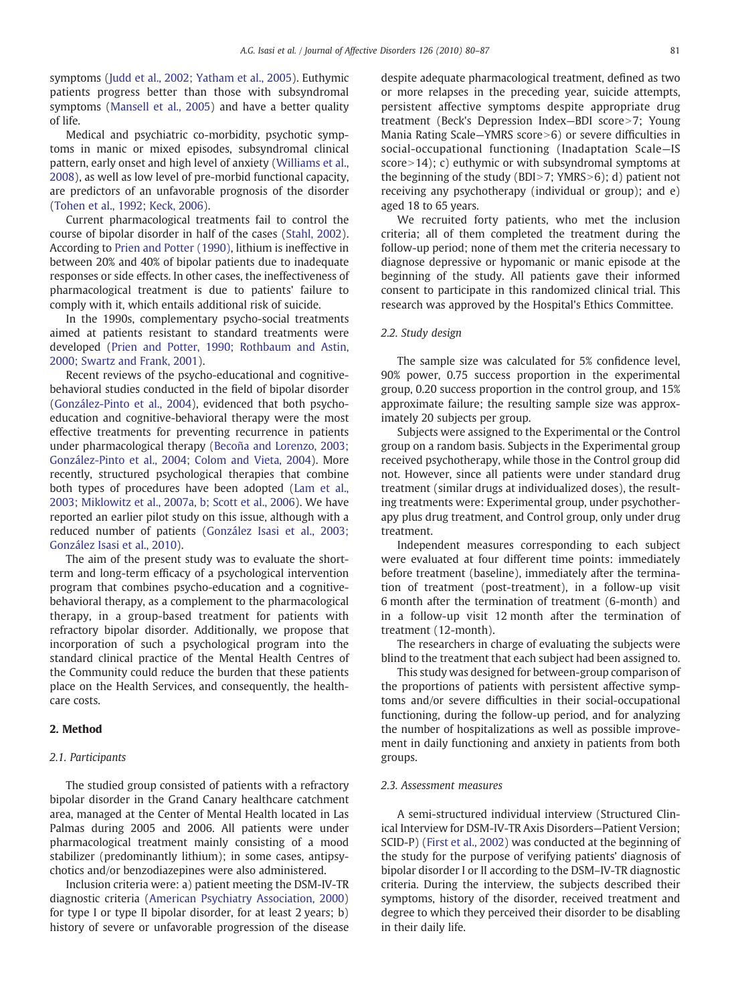symptoms ([Judd et al., 2002; Yatham et al., 2005\)](#page-6-0). Euthymic patients progress better than those with subsyndromal symptoms ([Mansell et al., 2005\)](#page-6-0) and have a better quality of life.

Medical and psychiatric co-morbidity, psychotic symptoms in manic or mixed episodes, subsyndromal clinical pattern, early onset and high level of anxiety [\(Williams et al.,](#page-7-0) [2008](#page-7-0)), as well as low level of pre-morbid functional capacity, are predictors of an unfavorable prognosis of the disorder [\(Tohen et al., 1992; Keck, 2006](#page-7-0)).

Current pharmacological treatments fail to control the course of bipolar disorder in half of the cases ([Stahl, 2002\)](#page-6-0). According to [Prien and Potter \(1990\),](#page-6-0) lithium is ineffective in between 20% and 40% of bipolar patients due to inadequate responses or side effects. In other cases, the ineffectiveness of pharmacological treatment is due to patients' failure to comply with it, which entails additional risk of suicide.

In the 1990s, complementary psycho-social treatments aimed at patients resistant to standard treatments were developed [\(Prien and Potter, 1990; Rothbaum and Astin,](#page-6-0) [2000; Swartz and Frank, 2001](#page-6-0)).

Recent reviews of the psycho-educational and cognitivebehavioral studies conducted in the field of bipolar disorder [\(González-Pinto et al., 2004\)](#page-6-0), evidenced that both psychoeducation and cognitive-behavioral therapy were the most effective treatments for preventing recurrence in patients under pharmacological therapy [\(Becoña and Lorenzo, 2003;](#page-6-0) [González-Pinto et al., 2004; Colom and Vieta, 2004](#page-6-0)). More recently, structured psychological therapies that combine both types of procedures have been adopted ([Lam et al.,](#page-6-0) [2003; Miklowitz et al., 2007a, b; Scott et al., 2006](#page-6-0)). We have reported an earlier pilot study on this issue, although with a reduced number of patients [\(González Isasi et al., 2003;](#page-6-0) [González Isasi et al., 2010\)](#page-6-0).

The aim of the present study was to evaluate the shortterm and long-term efficacy of a psychological intervention program that combines psycho-education and a cognitivebehavioral therapy, as a complement to the pharmacological therapy, in a group-based treatment for patients with refractory bipolar disorder. Additionally, we propose that incorporation of such a psychological program into the standard clinical practice of the Mental Health Centres of the Community could reduce the burden that these patients place on the Health Services, and consequently, the healthcare costs.

# 2. Method

#### 2.1. Participants

The studied group consisted of patients with a refractory bipolar disorder in the Grand Canary healthcare catchment area, managed at the Center of Mental Health located in Las Palmas during 2005 and 2006. All patients were under pharmacological treatment mainly consisting of a mood stabilizer (predominantly lithium); in some cases, antipsychotics and/or benzodiazepines were also administered.

Inclusion criteria were: a) patient meeting the DSM-IV-TR diagnostic criteria [\(American Psychiatry Association, 2000\)](#page-6-0) for type I or type II bipolar disorder, for at least 2 years; b) history of severe or unfavorable progression of the disease despite adequate pharmacological treatment, defined as two or more relapses in the preceding year, suicide attempts, persistent affective symptoms despite appropriate drug treatment (Beck's Depression Index-BDI score>7; Young Mania Rating Scale–YMRS score $>6$ ) or severe difficulties in social-occupational functioning (Inadaptation Scale—IS score  $>14$ ); c) euthymic or with subsyndromal symptoms at the beginning of the study (BDI>7; YMRS>6); d) patient not receiving any psychotherapy (individual or group); and e) aged 18 to 65 years.

We recruited forty patients, who met the inclusion criteria; all of them completed the treatment during the follow-up period; none of them met the criteria necessary to diagnose depressive or hypomanic or manic episode at the beginning of the study. All patients gave their informed consent to participate in this randomized clinical trial. This research was approved by the Hospital's Ethics Committee.

# 2.2. Study design

The sample size was calculated for 5% confidence level, 90% power, 0.75 success proportion in the experimental group, 0.20 success proportion in the control group, and 15% approximate failure; the resulting sample size was approximately 20 subjects per group.

Subjects were assigned to the Experimental or the Control group on a random basis. Subjects in the Experimental group received psychotherapy, while those in the Control group did not. However, since all patients were under standard drug treatment (similar drugs at individualized doses), the resulting treatments were: Experimental group, under psychotherapy plus drug treatment, and Control group, only under drug treatment.

Independent measures corresponding to each subject were evaluated at four different time points: immediately before treatment (baseline), immediately after the termination of treatment (post-treatment), in a follow-up visit 6 month after the termination of treatment (6-month) and in a follow-up visit 12 month after the termination of treatment (12-month).

The researchers in charge of evaluating the subjects were blind to the treatment that each subject had been assigned to.

This study was designed for between-group comparison of the proportions of patients with persistent affective symptoms and/or severe difficulties in their social-occupational functioning, during the follow-up period, and for analyzing the number of hospitalizations as well as possible improvement in daily functioning and anxiety in patients from both groups.

#### 2.3. Assessment measures

A semi-structured individual interview (Structured Clinical Interview for DSM-IV-TR Axis Disorders—Patient Version; SCID-P) ([First et al., 2002\)](#page-6-0) was conducted at the beginning of the study for the purpose of verifying patients' diagnosis of bipolar disorder I or II according to the DSM–IV-TR diagnostic criteria. During the interview, the subjects described their symptoms, history of the disorder, received treatment and degree to which they perceived their disorder to be disabling in their daily life.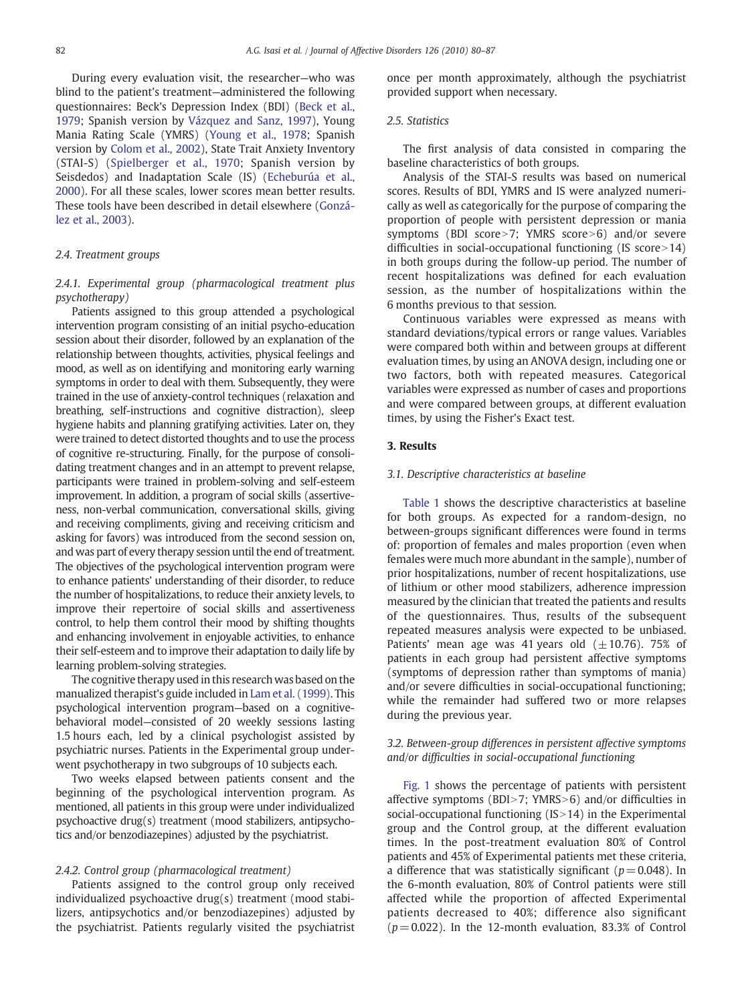During every evaluation visit, the researcher—who was blind to the patient's treatment—administered the following questionnaires: Beck's Depression Index (BDI) [\(Beck et al.,](#page-6-0) [1979](#page-6-0); Spanish version by [Vázquez and Sanz, 1997\)](#page-7-0), Young Mania Rating Scale (YMRS) [\(Young et al., 1978;](#page-7-0) Spanish version by [Colom et al., 2002](#page-6-0)), State Trait Anxiety Inventory (STAI-S) ([Spielberger et al., 1970;](#page-6-0) Spanish version by Seisdedos) and Inadaptation Scale (IS) ([Echeburúa et al.,](#page-6-0) [2000](#page-6-0)). For all these scales, lower scores mean better results. These tools have been described in detail elsewhere [\(Gonzá](#page-6-0)[lez et al., 2003\)](#page-6-0).

# 2.4. Treatment groups

# 2.4.1. Experimental group (pharmacological treatment plus psychotherapy)

Patients assigned to this group attended a psychological intervention program consisting of an initial psycho-education session about their disorder, followed by an explanation of the relationship between thoughts, activities, physical feelings and mood, as well as on identifying and monitoring early warning symptoms in order to deal with them. Subsequently, they were trained in the use of anxiety-control techniques (relaxation and breathing, self-instructions and cognitive distraction), sleep hygiene habits and planning gratifying activities. Later on, they were trained to detect distorted thoughts and to use the process of cognitive re-structuring. Finally, for the purpose of consolidating treatment changes and in an attempt to prevent relapse, participants were trained in problem-solving and self-esteem improvement. In addition, a program of social skills (assertiveness, non-verbal communication, conversational skills, giving and receiving compliments, giving and receiving criticism and asking for favors) was introduced from the second session on, and was part of every therapy session until the end of treatment. The objectives of the psychological intervention program were to enhance patients' understanding of their disorder, to reduce the number of hospitalizations, to reduce their anxiety levels, to improve their repertoire of social skills and assertiveness control, to help them control their mood by shifting thoughts and enhancing involvement in enjoyable activities, to enhance their self-esteem and to improve their adaptation to daily life by learning problem-solving strategies.

The cognitive therapy used in this research was based on the manualized therapist's guide included in [Lam et al. \(1999\)](#page-6-0). This psychological intervention program—based on a cognitivebehavioral model—consisted of 20 weekly sessions lasting 1.5 hours each, led by a clinical psychologist assisted by psychiatric nurses. Patients in the Experimental group underwent psychotherapy in two subgroups of 10 subjects each.

Two weeks elapsed between patients consent and the beginning of the psychological intervention program. As mentioned, all patients in this group were under individualized psychoactive drug(s) treatment (mood stabilizers, antipsychotics and/or benzodiazepines) adjusted by the psychiatrist.

#### 2.4.2. Control group (pharmacological treatment)

Patients assigned to the control group only received individualized psychoactive drug(s) treatment (mood stabilizers, antipsychotics and/or benzodiazepines) adjusted by the psychiatrist. Patients regularly visited the psychiatrist once per month approximately, although the psychiatrist provided support when necessary.

# 2.5. Statistics

The first analysis of data consisted in comparing the baseline characteristics of both groups.

Analysis of the STAI-S results was based on numerical scores. Results of BDI, YMRS and IS were analyzed numerically as well as categorically for the purpose of comparing the proportion of people with persistent depression or mania symptoms (BDI score $>7$ : YMRS score $>6$ ) and/or severe difficulties in social-occupational functioning (IS score  $>14$ ) in both groups during the follow-up period. The number of recent hospitalizations was defined for each evaluation session, as the number of hospitalizations within the 6 months previous to that session.

Continuous variables were expressed as means with standard deviations/typical errors or range values. Variables were compared both within and between groups at different evaluation times, by using an ANOVA design, including one or two factors, both with repeated measures. Categorical variables were expressed as number of cases and proportions and were compared between groups, at different evaluation times, by using the Fisher's Exact test.

# 3. Results

#### 3.1. Descriptive characteristics at baseline

[Table 1](#page-3-0) shows the descriptive characteristics at baseline for both groups. As expected for a random-design, no between-groups significant differences were found in terms of: proportion of females and males proportion (even when females were much more abundant in the sample), number of prior hospitalizations, number of recent hospitalizations, use of lithium or other mood stabilizers, adherence impression measured by the clinician that treated the patients and results of the questionnaires. Thus, results of the subsequent repeated measures analysis were expected to be unbiased. Patients' mean age was 41 years old  $(\pm 10.76)$ . 75% of patients in each group had persistent affective symptoms (symptoms of depression rather than symptoms of mania) and/or severe difficulties in social-occupational functioning; while the remainder had suffered two or more relapses during the previous year.

# 3.2. Between-group differences in persistent affective symptoms and/or difficulties in social-occupational functioning

[Fig. 1](#page-3-0) shows the percentage of patients with persistent affective symptoms (BDI $>7$ ; YMRS $>6$ ) and/or difficulties in social-occupational functioning  $(IS>14)$  in the Experimental group and the Control group, at the different evaluation times. In the post-treatment evaluation 80% of Control patients and 45% of Experimental patients met these criteria, a difference that was statistically significant ( $p = 0.048$ ). In the 6-month evaluation, 80% of Control patients were still affected while the proportion of affected Experimental patients decreased to 40%; difference also significant  $(p= 0.022)$ . In the 12-month evaluation, 83.3% of Control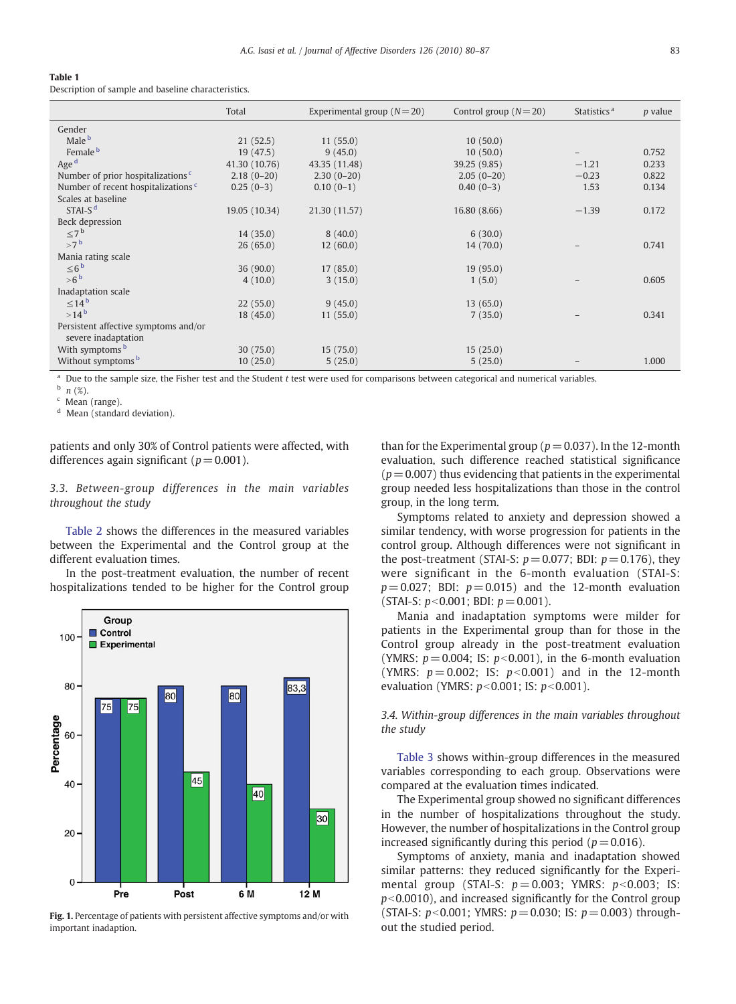## <span id="page-3-0"></span>Table 1

Description of sample and baseline characteristics.

| Total         | Experimental group $(N=20)$ | Control group $(N=20)$ | Statistics <sup>a</sup> | <i>p</i> value |
|---------------|-----------------------------|------------------------|-------------------------|----------------|
|               |                             |                        |                         |                |
| 21(52.5)      | 11(55.0)                    | 10(50.0)               |                         |                |
| 19(47.5)      | 9(45.0)                     | 10(50.0)               |                         | 0.752          |
| 41.30 (10.76) | 43.35 (11.48)               | 39.25 (9.85)           | $-1.21$                 | 0.233          |
| $2.18(0-20)$  | $2.30(0-20)$                | $2.05(0-20)$           | $-0.23$                 | 0.822          |
| $0.25(0-3)$   | $0.10(0-1)$                 | $0.40(0-3)$            | 1.53                    | 0.134          |
|               |                             |                        |                         |                |
| 19.05 (10.34) | 21.30 (11.57)               | 16.80 (8.66)           | $-1.39$                 | 0.172          |
|               |                             |                        |                         |                |
| 14(35.0)      | 8(40.0)                     | 6(30.0)                |                         |                |
| 26(65.0)      | 12(60.0)                    | 14(70.0)               |                         | 0.741          |
|               |                             |                        |                         |                |
| 36 (90.0)     | 17(85.0)                    | 19(95.0)               |                         |                |
| 4(10.0)       | 3(15.0)                     | 1(5.0)                 |                         | 0.605          |
|               |                             |                        |                         |                |
| 22(55.0)      | 9(45.0)                     | 13(65.0)               |                         |                |
| 18(45.0)      | 11(55.0)                    | 7(35.0)                |                         | 0.341          |
|               |                             |                        |                         |                |
| 30(75.0)      | 15(75.0)                    | 15(25.0)               |                         |                |
| 10(25.0)      | 5(25.0)                     | 5(25.0)                |                         | 1.000          |
|               |                             |                        |                         |                |

Due to the sample size, the Fisher test and the Student t test were used for comparisons between categorical and numerical variables.

 $b$  n  $(\%)$ .

Mean (range).

<sup>d</sup> Mean (standard deviation).

patients and only 30% of Control patients were affected, with differences again significant ( $p = 0.001$ ).

3.3. Between-group differences in the main variables throughout the study

[Table 2](#page-4-0) shows the differences in the measured variables between the Experimental and the Control group at the different evaluation times.

In the post-treatment evaluation, the number of recent hospitalizations tended to be higher for the Control group



Fig. 1. Percentage of patients with persistent affective symptoms and/or with important inadaption.

than for the Experimental group ( $p = 0.037$ ). In the 12-month evaluation, such difference reached statistical significance  $(p= 0.007)$  thus evidencing that patients in the experimental group needed less hospitalizations than those in the control group, in the long term.

Symptoms related to anxiety and depression showed a similar tendency, with worse progression for patients in the control group. Although differences were not significant in the post-treatment (STAI-S:  $p = 0.077$ ; BDI:  $p = 0.176$ ), they were significant in the 6-month evaluation (STAI-S:  $p = 0.027$ ; BDI:  $p = 0.015$ ) and the 12-month evaluation (STAI-S:  $p < 0.001$ : BDI:  $p = 0.001$ ).

Mania and inadaptation symptoms were milder for patients in the Experimental group than for those in the Control group already in the post-treatment evaluation (YMRS:  $p = 0.004$ ; IS:  $p < 0.001$ ), in the 6-month evaluation (YMRS:  $p = 0.002$ ; IS:  $p < 0.001$ ) and in the 12-month evaluation (YMRS:  $p < 0.001$ ; IS:  $p < 0.001$ ).

3.4. Within-group differences in the main variables throughout the study

[Table 3](#page-5-0) shows within-group differences in the measured variables corresponding to each group. Observations were compared at the evaluation times indicated.

The Experimental group showed no significant differences in the number of hospitalizations throughout the study. However, the number of hospitalizations in the Control group increased significantly during this period ( $p = 0.016$ ).

Symptoms of anxiety, mania and inadaptation showed similar patterns: they reduced significantly for the Experimental group (STAI-S:  $p = 0.003$ ; YMRS:  $p < 0.003$ ; IS:  $p<0.0010$ ), and increased significantly for the Control group (STAI-S:  $p < 0.001$ ; YMRS:  $p = 0.030$ ; IS:  $p = 0.003$ ) throughout the studied period.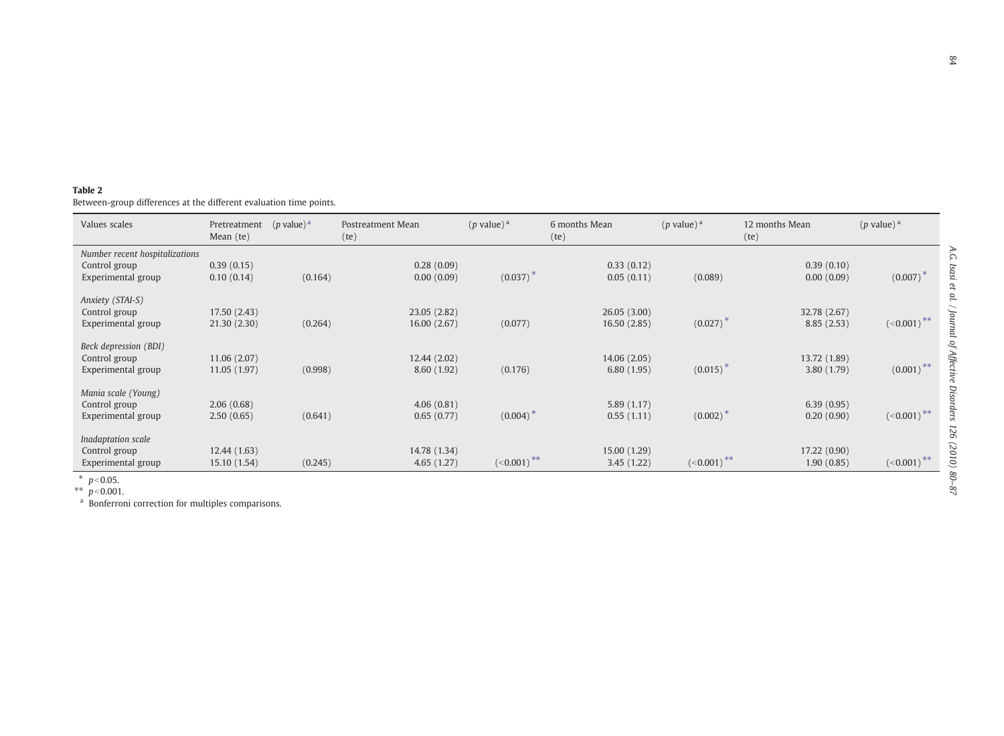<span id="page-4-0"></span>Between-group differences at the different evaluation time points.

| Values scales                                                             | Pretreatment<br>Mean (te)    | $(p$ value) <sup>a</sup> | Postreatment Mean<br>(te)   | $(p$ value) <sup>a</sup><br>6 months Mean<br>(te) |                             | $(p$ value) <sup>a</sup> | 12 months Mean<br>(te)     | $(p$ value) <sup>a</sup> |
|---------------------------------------------------------------------------|------------------------------|--------------------------|-----------------------------|---------------------------------------------------|-----------------------------|--------------------------|----------------------------|--------------------------|
| Number recent hospitalizations<br>Control group<br>Experimental group     | 0.39(0.15)<br>0.10(0.14)     | (0.164)                  | 0.28(0.09)<br>0.00(0.09)    | (0.037)                                           | 0.33(0.12)<br>0.05(0.11)    | (0.089)                  | 0.39(0.10)<br>0.00(0.09)   | $(0.007)^{2}$            |
| Anxiety (STAI-S)<br>Control group<br>Experimental group                   | 17.50 (2.43)<br>21.30(2.30)  | (0.264)                  | 23.05 (2.82)<br>16.00(2.67) | (0.077)                                           | 26.05(3.00)<br>16.50 (2.85) | $(0.027)^{4}$            | 32.78 (2.67)<br>8.85(2.53) | $(<0.001)$ **            |
| Beck depression (BDI)<br>Control group<br>Experimental group              | 11.06 (2.07)<br>11.05 (1.97) | (0.998)                  | 12.44 (2.02)<br>8.60(1.92)  | (0.176)                                           | 14.06 (2.05)<br>6.80(1.95)  | $(0.015)^{3}$            | 13.72 (1.89)<br>3.80(1.79) | $(0.001)$ <sup>**</sup>  |
| Mania scale (Young)<br>Control group<br>Experimental group                | 2.06(0.68)<br>2.50(0.65)     | (0.641)                  | 4.06(0.81)<br>0.65(0.77)    | (0.004)                                           | 5.89(1.17)<br>0.55(1.11)    | $(0.002)^{4}$            | 6.39(0.95)<br>0.20(0.90)   | $(\leq 0.001)$ **        |
| Inadaptation scale<br>Control group<br>Experimental group<br>$*$ $\alpha$ | 12.44 (1.63)<br>15.10 (1.54) | (0.245)                  | 14.78 (1.34)<br>4.65(1.27)  | $(-0.001)$ **                                     | 15.00 (1.29)<br>3.45(1.22)  | $(-0.001)$ **            | 17.22 (0.90)<br>1.90(0.85) | $(-0.001)$ **            |

\*  $p < 0.05$ .<br>\*\*  $p < 0.001$ .

<sup>a</sup> Bonferroni correction for multiples comparisons.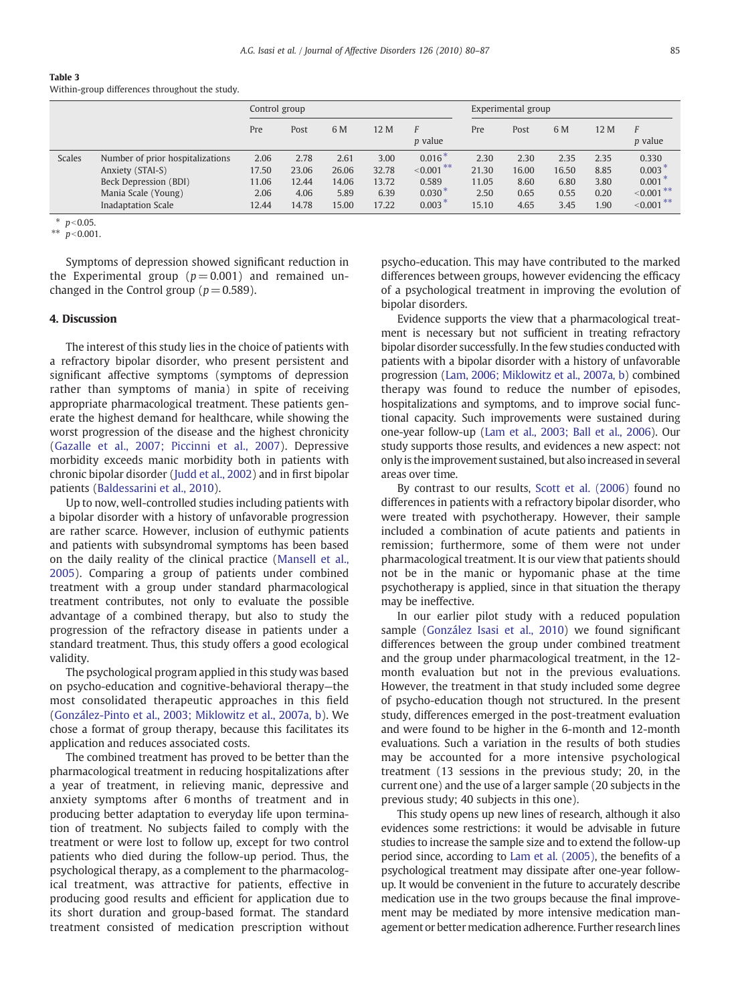<span id="page-5-0"></span>

| Table 3                                        |  |  |
|------------------------------------------------|--|--|
| Within-group differences throughout the study. |  |  |

|        |                                                                                                                            | Control group                           |                                         |                                         | Experimental group                      |                                                           |                                         |                                       |                                       |                                      |                                                               |
|--------|----------------------------------------------------------------------------------------------------------------------------|-----------------------------------------|-----------------------------------------|-----------------------------------------|-----------------------------------------|-----------------------------------------------------------|-----------------------------------------|---------------------------------------|---------------------------------------|--------------------------------------|---------------------------------------------------------------|
|        |                                                                                                                            | Pre                                     | Post                                    | 6 M                                     | 12 M                                    | F<br><i>p</i> value                                       | Pre                                     | Post                                  | 6 M                                   | 12 M                                 | F<br><i>p</i> value                                           |
| Scales | Number of prior hospitalizations<br>Anxiety (STAI-S)<br>Beck Depression (BDI)<br>Mania Scale (Young)<br>Inadaptation Scale | 2.06<br>17.50<br>11.06<br>2.06<br>12.44 | 2.78<br>23.06<br>12.44<br>4.06<br>14.78 | 2.61<br>26.06<br>14.06<br>5.89<br>15.00 | 3.00<br>32.78<br>13.72<br>6.39<br>17.22 | $0.016*$<br>$< 0.001$ **<br>0.589<br>$0.030*$<br>$0.003*$ | 2.30<br>21.30<br>11.05<br>2.50<br>15.10 | 2.30<br>16.00<br>8.60<br>0.65<br>4.65 | 2.35<br>16.50<br>6.80<br>0.55<br>3.45 | 2.35<br>8.85<br>3.80<br>0.20<br>1.90 | 0.330<br>$0.003*$<br>$0.001*$<br>$< 0.001$ **<br>$< 0.001$ ** |

 $*$   $p<0.05$ .

 $n < 0.001$ 

Symptoms of depression showed significant reduction in the Experimental group  $(p= 0.001)$  and remained unchanged in the Control group ( $p = 0.589$ ).

#### 4. Discussion

The interest of this study lies in the choice of patients with a refractory bipolar disorder, who present persistent and significant affective symptoms (symptoms of depression rather than symptoms of mania) in spite of receiving appropriate pharmacological treatment. These patients generate the highest demand for healthcare, while showing the worst progression of the disease and the highest chronicity [\(Gazalle et al., 2007; Piccinni et al., 2007](#page-6-0)). Depressive morbidity exceeds manic morbidity both in patients with chronic bipolar disorder ([Judd et al., 2002](#page-6-0)) and in first bipolar patients [\(Baldessarini et al., 2010](#page-6-0)).

Up to now, well-controlled studies including patients with a bipolar disorder with a history of unfavorable progression are rather scarce. However, inclusion of euthymic patients and patients with subsyndromal symptoms has been based on the daily reality of the clinical practice [\(Mansell et al.,](#page-6-0) [2005](#page-6-0)). Comparing a group of patients under combined treatment with a group under standard pharmacological treatment contributes, not only to evaluate the possible advantage of a combined therapy, but also to study the progression of the refractory disease in patients under a standard treatment. Thus, this study offers a good ecological validity.

The psychological program applied in this study was based on psycho-education and cognitive-behavioral therapy—the most consolidated therapeutic approaches in this field [\(González-Pinto et al., 2003; Miklowitz et al., 2007a, b\)](#page-6-0). We chose a format of group therapy, because this facilitates its application and reduces associated costs.

The combined treatment has proved to be better than the pharmacological treatment in reducing hospitalizations after a year of treatment, in relieving manic, depressive and anxiety symptoms after 6 months of treatment and in producing better adaptation to everyday life upon termination of treatment. No subjects failed to comply with the treatment or were lost to follow up, except for two control patients who died during the follow-up period. Thus, the psychological therapy, as a complement to the pharmacological treatment, was attractive for patients, effective in producing good results and efficient for application due to its short duration and group-based format. The standard treatment consisted of medication prescription without

psycho-education. This may have contributed to the marked differences between groups, however evidencing the efficacy of a psychological treatment in improving the evolution of bipolar disorders.

Evidence supports the view that a pharmacological treatment is necessary but not sufficient in treating refractory bipolar disorder successfully. In the few studies conducted with patients with a bipolar disorder with a history of unfavorable progression [\(Lam, 2006; Miklowitz et al., 2007a, b\)](#page-6-0) combined therapy was found to reduce the number of episodes, hospitalizations and symptoms, and to improve social functional capacity. Such improvements were sustained during one-year follow-up ([Lam et al., 2003; Ball et al., 2006](#page-6-0)). Our study supports those results, and evidences a new aspect: not only is the improvement sustained, but also increased in several areas over time.

By contrast to our results, [Scott et al. \(2006\)](#page-6-0) found no differences in patients with a refractory bipolar disorder, who were treated with psychotherapy. However, their sample included a combination of acute patients and patients in remission; furthermore, some of them were not under pharmacological treatment. It is our view that patients should not be in the manic or hypomanic phase at the time psychotherapy is applied, since in that situation the therapy may be ineffective.

In our earlier pilot study with a reduced population sample ([González Isasi et al., 2010](#page-6-0)) we found significant differences between the group under combined treatment and the group under pharmacological treatment, in the 12 month evaluation but not in the previous evaluations. However, the treatment in that study included some degree of psycho-education though not structured. In the present study, differences emerged in the post-treatment evaluation and were found to be higher in the 6-month and 12-month evaluations. Such a variation in the results of both studies may be accounted for a more intensive psychological treatment (13 sessions in the previous study; 20, in the current one) and the use of a larger sample (20 subjects in the previous study; 40 subjects in this one).

This study opens up new lines of research, although it also evidences some restrictions: it would be advisable in future studies to increase the sample size and to extend the follow-up period since, according to [Lam et al. \(2005\),](#page-6-0) the benefits of a psychological treatment may dissipate after one-year followup. It would be convenient in the future to accurately describe medication use in the two groups because the final improvement may be mediated by more intensive medication management or better medication adherence. Further research lines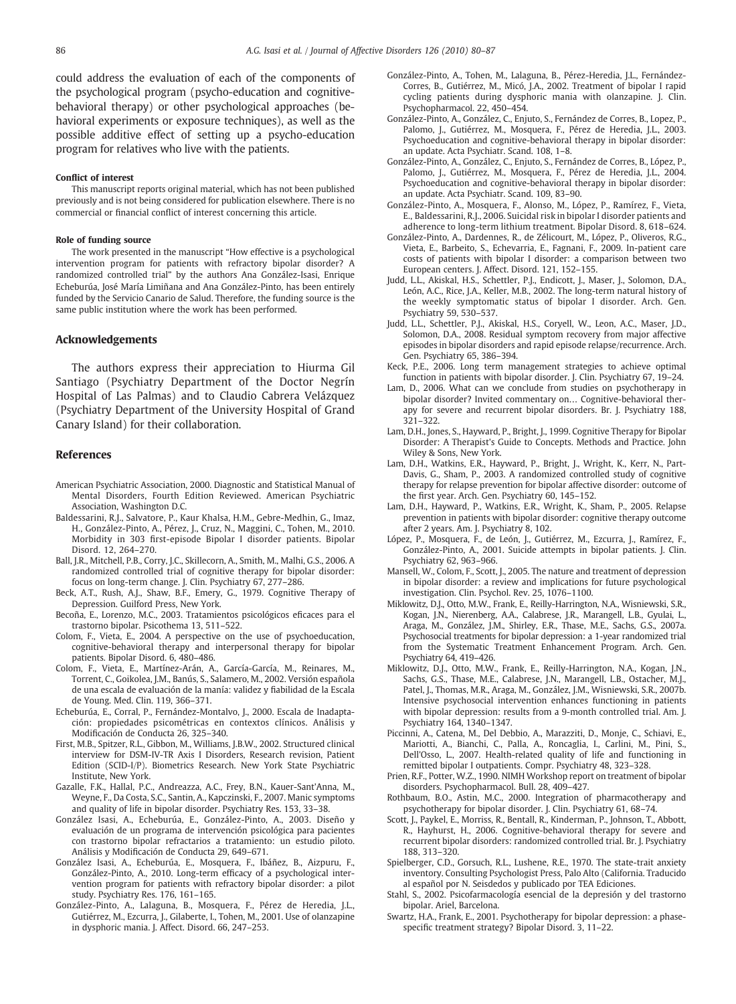<span id="page-6-0"></span>could address the evaluation of each of the components of the psychological program (psycho-education and cognitivebehavioral therapy) or other psychological approaches (behavioral experiments or exposure techniques), as well as the possible additive effect of setting up a psycho-education program for relatives who live with the patients.

#### Conflict of interest

This manuscript reports original material, which has not been published previously and is not being considered for publication elsewhere. There is no commercial or financial conflict of interest concerning this article.

#### Role of funding source

The work presented in the manuscript "How effective is a psychological intervention program for patients with refractory bipolar disorder? A randomized controlled trial" by the authors Ana González-Isasi, Enrique Echeburúa, José María Limiñana and Ana González-Pinto, has been entirely funded by the Servicio Canario de Salud. Therefore, the funding source is the same public institution where the work has been performed.

#### Acknowledgements

The authors express their appreciation to Hiurma Gil Santiago (Psychiatry Department of the Doctor Negrín Hospital of Las Palmas) and to Claudio Cabrera Velázquez (Psychiatry Department of the University Hospital of Grand Canary Island) for their collaboration.

#### References

- American Psychiatric Association, 2000. Diagnostic and Statistical Manual of Mental Disorders, Fourth Edition Reviewed. American Psychiatric Association, Washington D.C.
- Baldessarini, R.J., Salvatore, P., Kaur Khalsa, H.M., Gebre-Medhin, G., Imaz, H., González-Pinto, A., Pérez, J., Cruz, N., Maggini, C., Tohen, M., 2010. Morbidity in 303 first-episode Bipolar I disorder patients. Bipolar Disord. 12, 264–270.
- Ball, J.R., Mitchell, P.B., Corry, J.C., Skillecorn, A., Smith, M., Malhi, G.S., 2006. A randomized controlled trial of cognitive therapy for bipolar disorder: focus on long-term change. J. Clin. Psychiatry 67, 277–286.
- Beck, A.T., Rush, A.J., Shaw, B.F., Emery, G., 1979. Cognitive Therapy of Depression. Guilford Press, New York.
- Becoña, E., Lorenzo, M.C., 2003. Tratamientos psicológicos eficaces para el trastorno bipolar. Psicothema 13, 511–522.
- Colom, F., Vieta, E., 2004. A perspective on the use of psychoeducation, cognitive-behavioral therapy and interpersonal therapy for bipolar patients. Bipolar Disord. 6, 480–486.
- Colom, F., Vieta, E., Martínez-Arán, A., García-García, M., Reinares, M., Torrent, C., Goikolea, J.M., Banús, S., Salamero, M., 2002. Versión española de una escala de evaluación de la manía: validez y fiabilidad de la Escala de Young. Med. Clin. 119, 366–371.
- Echeburúa, E., Corral, P., Fernández-Montalvo, J., 2000. Escala de Inadaptación: propiedades psicométricas en contextos clínicos. Análisis y Modificación de Conducta 26, 325–340.
- First, M.B., Spitzer, R.L., Gibbon, M., Williams, J.B.W., 2002. Structured clinical interview for DSM-IV-TR Axis I Disorders, Research revision, Patient Edition (SCID-I/P). Biometrics Research. New York State Psychiatric Institute, New York.
- Gazalle, F.K., Hallal, P.C., Andreazza, A.C., Frey, B.N., Kauer-Sant'Anna, M., Weyne, F., Da Costa, S.C., Santin, A., Kapczinski, F., 2007. Manic symptoms and quality of life in bipolar disorder. Psychiatry Res. 153, 33–38.
- González Isasi, A., Echeburúa, E., González-Pinto, A., 2003. Diseño y evaluación de un programa de intervención psicológica para pacientes con trastorno bipolar refractarios a tratamiento: un estudio piloto. Análisis y Modificación de Conducta 29, 649–671.
- González Isasi, A., Echeburúa, E., Mosquera, F., Ibáñez, B., Aizpuru, F., González-Pinto, A., 2010. Long-term efficacy of a psychological intervention program for patients with refractory bipolar disorder: a pilot study. Psychiatry Res. 176, 161–165.
- González-Pinto, A., Lalaguna, B., Mosquera, F., Pérez de Heredia, J.L., Gutiérrez, M., Ezcurra, J., Gilaberte, I., Tohen, M., 2001. Use of olanzapine in dysphoric mania. J. Affect. Disord. 66, 247–253.
- González-Pinto, A., Tohen, M., Lalaguna, B., Pérez-Heredia, J.L., Fernández-Corres, B., Gutiérrez, M., Micó, J.A., 2002. Treatment of bipolar I rapid cycling patients during dysphoric mania with olanzapine. J. Clin. Psychopharmacol. 22, 450–454.
- González-Pinto, A., González, C., Enjuto, S., Fernández de Corres, B., Lopez, P., Palomo, J., Gutiérrez, M., Mosquera, F., Pérez de Heredia, J.L., 2003. Psychoeducation and cognitive-behavioral therapy in bipolar disorder: an update. Acta Psychiatr. Scand. 108, 1–8.
- González-Pinto, A., González, C., Enjuto, S., Fernández de Corres, B., López, P., Palomo, J., Gutiérrez, M., Mosquera, F., Pérez de Heredia, J.L., 2004. Psychoeducation and cognitive-behavioral therapy in bipolar disorder: an update. Acta Psychiatr. Scand. 109, 83–90.
- González-Pinto, A., Mosquera, F., Alonso, M., López, P., Ramírez, F., Vieta, E., Baldessarini, R.J., 2006. Suicidal risk in bipolar I disorder patients and adherence to long-term lithium treatment. Bipolar Disord. 8, 618–624.
- González-Pinto, A., Dardennes, R., de Zélicourt, M., López, P., Oliveros, R.G., Vieta, E., Barbeito, S., Echevarria, E., Fagnani, F., 2009. In-patient care costs of patients with bipolar I disorder: a comparison between two European centers. J. Affect. Disord. 121, 152–155.
- Judd, L.L., Akiskal, H.S., Schettler, P.J., Endicott, J., Maser, J., Solomon, D.A., León, A.C., Rice, J.A., Keller, M.B., 2002. The long-term natural history of the weekly symptomatic status of bipolar I disorder. Arch. Gen. Psychiatry 59, 530–537.
- Judd, L.L., Schettler, P.J., Akiskal, H.S., Coryell, W., Leon, A.C., Maser, J.D., Solomon, D.A., 2008. Residual symptom recovery from major affective episodes in bipolar disorders and rapid episode relapse/recurrence. Arch. Gen. Psychiatry 65, 386–394.
- Keck, P.E., 2006. Long term management strategies to achieve optimal function in patients with bipolar disorder. J. Clin. Psychiatry 67, 19–24.
- Lam, D., 2006. What can we conclude from studies on psychotherapy in bipolar disorder? Invited commentary on… Cognitive-behavioral therapy for severe and recurrent bipolar disorders. Br. J. Psychiatry 188, 321–322.
- Lam, D.H., Jones, S., Hayward, P., Bright, J., 1999. Cognitive Therapy for Bipolar Disorder: A Therapist's Guide to Concepts. Methods and Practice. John Wiley & Sons, New York.
- Lam, D.H., Watkins, E.R., Hayward, P., Bright, J., Wright, K., Kerr, N., Part-Davis, G., Sham, P., 2003. A randomized controlled study of cognitive therapy for relapse prevention for bipolar affective disorder: outcome of the first year. Arch. Gen. Psychiatry 60, 145–152.
- Lam, D.H., Hayward, P., Watkins, E.R., Wright, K., Sham, P., 2005. Relapse prevention in patients with bipolar disorder: cognitive therapy outcome after 2 years. Am. J. Psychiatry 8, 102.
- López, P., Mosquera, F., de León, J., Gutiérrez, M., Ezcurra, J., Ramírez, F., González-Pinto, A., 2001. Suicide attempts in bipolar patients. J. Clin. Psychiatry 62, 963–966.
- Mansell, W., Colom, F., Scott, J., 2005. The nature and treatment of depression in bipolar disorder: a review and implications for future psychological investigation. Clin. Psychol. Rev. 25, 1076–1100.
- Miklowitz, D.J., Otto, M.W., Frank, E., Reilly-Harrington, N.A., Wisniewski, S.R., Kogan, J.N., Nierenberg, A.A., Calabrese, J.R., Marangell, L.B., Gyulai, L., Araga, M., González, J.M., Shirley, E.R., Thase, M.E., Sachs, G.S., 2007a. Psychosocial treatments for bipolar depression: a 1-year randomized trial from the Systematic Treatment Enhancement Program. Arch. Gen. Psychiatry 64, 419–426.
- Miklowitz, D.J., Otto, M.W., Frank, E., Reilly-Harrington, N.A., Kogan, J.N., Sachs, G.S., Thase, M.E., Calabrese, J.N., Marangell, L.B., Ostacher, M.J., Patel, J., Thomas, M.R., Araga, M., González, J.M., Wisniewski, S.R., 2007b. Intensive psychosocial intervention enhances functioning in patients with bipolar depression: results from a 9-month controlled trial. Am. J. Psychiatry 164, 1340–1347.
- Piccinni, A., Catena, M., Del Debbio, A., Marazziti, D., Monje, C., Schiavi, E., Mariotti, A., Bianchi, C., Palla, A., Roncaglia, I., Carlini, M., Pini, S., Dell'Osso, L., 2007. Health-related quality of life and functioning in remitted bipolar I outpatients. Compr. Psychiatry 48, 323–328.
- Prien, R.F., Potter, W.Z., 1990. NIMH Workshop report on treatment of bipolar disorders. Psychopharmacol. Bull. 28, 409–427.
- Rothbaum, B.O., Astin, M.C., 2000. Integration of pharmacotherapy and psychotherapy for bipolar disorder. J. Clin. Psychiatry 61, 68–74.
- Scott, J., Paykel, E., Morriss, R., Bentall, R., Kinderman, P., Johnson, T., Abbott, R., Hayhurst, H., 2006. Cognitive-behavioral therapy for severe and recurrent bipolar disorders: randomized controlled trial. Br. J. Psychiatry 188, 313–320.
- Spielberger, C.D., Gorsuch, R.L., Lushene, R.E., 1970. The state-trait anxiety inventory. Consulting Psychologist Press, Palo Alto (California. Traducido al español por N. Seisdedos y publicado por TEA Ediciones.
- Stahl, S., 2002. Psicofarmacología esencial de la depresión y del trastorno bipolar. Ariel, Barcelona.
- Swartz, H.A., Frank, E., 2001. Psychotherapy for bipolar depression: a phasespecific treatment strategy? Bipolar Disord. 3, 11-22.